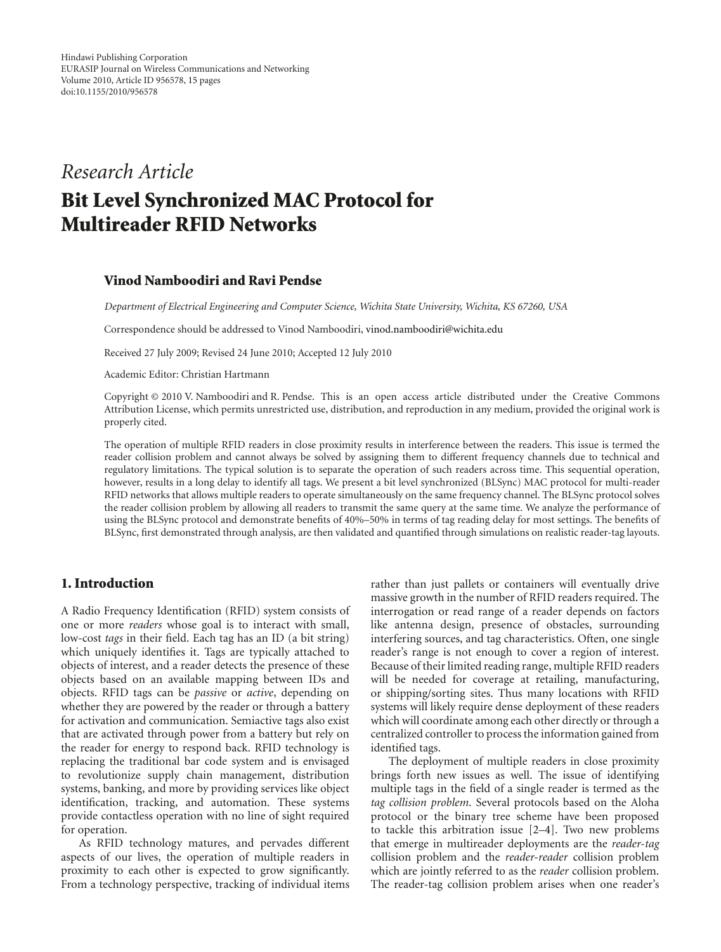# *Research Article* **Bit Level Synchronized MAC Protocol for Multireader RFID Networks**

# **Vinod Namboodiri and Ravi Pendse**

*Department of Electrical Engineering and Computer Science, Wichita State University, Wichita, KS 67260, USA*

Correspondence should be addressed to Vinod Namboodiri, vinod.namboodiri@wichita.edu

Received 27 July 2009; Revised 24 June 2010; Accepted 12 July 2010

Academic Editor: Christian Hartmann

Copyright © 2010 V. Namboodiri and R. Pendse. This is an open access article distributed under the Creative Commons Attribution License, which permits unrestricted use, distribution, and reproduction in any medium, provided the original work is properly cited.

The operation of multiple RFID readers in close proximity results in interference between the readers. This issue is termed the reader collision problem and cannot always be solved by assigning them to different frequency channels due to technical and regulatory limitations. The typical solution is to separate the operation of such readers across time. This sequential operation, however, results in a long delay to identify all tags. We present a bit level synchronized (BLSync) MAC protocol for multi-reader RFID networks that allows multiple readers to operate simultaneously on the same frequency channel. The BLSync protocol solves the reader collision problem by allowing all readers to transmit the same query at the same time. We analyze the performance of using the BLSync protocol and demonstrate benefits of 40%–50% in terms of tag reading delay for most settings. The benefits of BLSync, first demonstrated through analysis, are then validated and quantified through simulations on realistic reader-tag layouts.

# **1. Introduction**

A Radio Frequency Identification (RFID) system consists of one or more *readers* whose goal is to interact with small, low-cost *tags* in their field. Each tag has an ID (a bit string) which uniquely identifies it. Tags are typically attached to objects of interest, and a reader detects the presence of these objects based on an available mapping between IDs and objects. RFID tags can be *passive* or *active*, depending on whether they are powered by the reader or through a battery for activation and communication. Semiactive tags also exist that are activated through power from a battery but rely on the reader for energy to respond back. RFID technology is replacing the traditional bar code system and is envisaged to revolutionize supply chain management, distribution systems, banking, and more by providing services like object identification, tracking, and automation. These systems provide contactless operation with no line of sight required for operation.

As RFID technology matures, and pervades different aspects of our lives, the operation of multiple readers in proximity to each other is expected to grow significantly. From a technology perspective, tracking of individual items rather than just pallets or containers will eventually drive massive growth in the number of RFID readers required. The interrogation or read range of a reader depends on factors like antenna design, presence of obstacles, surrounding interfering sources, and tag characteristics. Often, one single reader's range is not enough to cover a region of interest. Because of their limited reading range, multiple RFID readers will be needed for coverage at retailing, manufacturing, or shipping/sorting sites. Thus many locations with RFID systems will likely require dense deployment of these readers which will coordinate among each other directly or through a centralized controller to process the information gained from identified tags.

The deployment of multiple readers in close proximity brings forth new issues as well. The issue of identifying multiple tags in the field of a single reader is termed as the *tag collision problem*. Several protocols based on the Aloha protocol or the binary tree scheme have been proposed to tackle this arbitration issue [2–4]. Two new problems that emerge in multireader deployments are the *reader-tag* collision problem and the *reader-reader* collision problem which are jointly referred to as the *reader* collision problem. The reader-tag collision problem arises when one reader's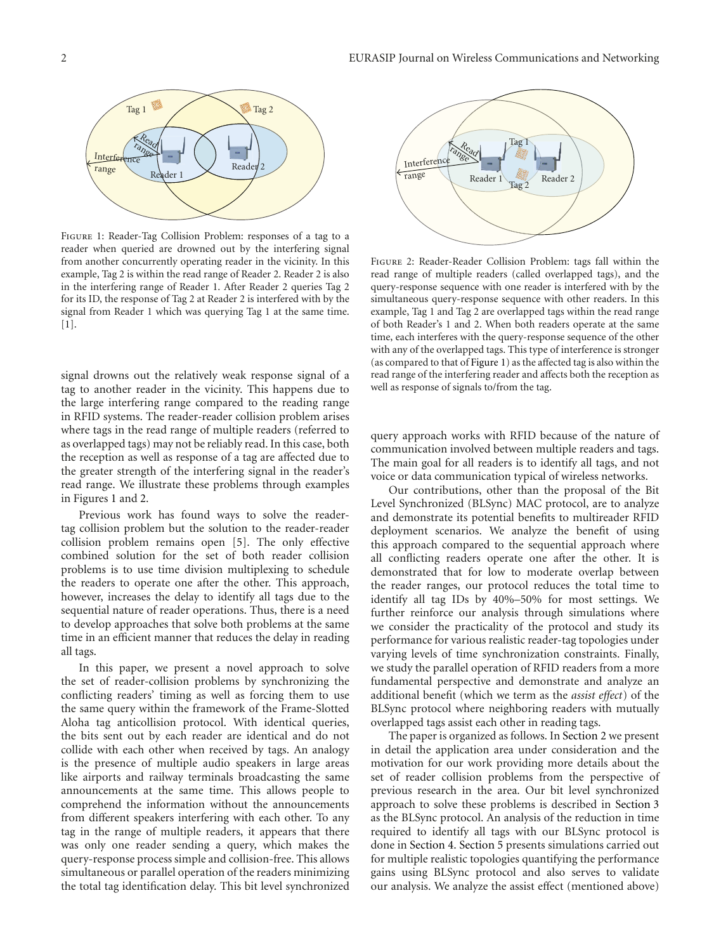

Figure 1: Reader-Tag Collision Problem: responses of a tag to a reader when queried are drowned out by the interfering signal from another concurrently operating reader in the vicinity. In this example, Tag 2 is within the read range of Reader 2. Reader 2 is also in the interfering range of Reader 1. After Reader 2 queries Tag 2 for its ID, the response of Tag 2 at Reader 2 is interfered with by the signal from Reader 1 which was querying Tag 1 at the same time. [1].

signal drowns out the relatively weak response signal of a tag to another reader in the vicinity. This happens due to the large interfering range compared to the reading range in RFID systems. The reader-reader collision problem arises where tags in the read range of multiple readers (referred to as overlapped tags) may not be reliably read. In this case, both the reception as well as response of a tag are affected due to the greater strength of the interfering signal in the reader's read range. We illustrate these problems through examples in Figures 1 and 2.

Previous work has found ways to solve the readertag collision problem but the solution to the reader-reader collision problem remains open [5]. The only effective combined solution for the set of both reader collision problems is to use time division multiplexing to schedule the readers to operate one after the other. This approach, however, increases the delay to identify all tags due to the sequential nature of reader operations. Thus, there is a need to develop approaches that solve both problems at the same time in an efficient manner that reduces the delay in reading all tags.

In this paper, we present a novel approach to solve the set of reader-collision problems by synchronizing the conflicting readers' timing as well as forcing them to use the same query within the framework of the Frame-Slotted Aloha tag anticollision protocol. With identical queries, the bits sent out by each reader are identical and do not collide with each other when received by tags. An analogy is the presence of multiple audio speakers in large areas like airports and railway terminals broadcasting the same announcements at the same time. This allows people to comprehend the information without the announcements from different speakers interfering with each other. To any tag in the range of multiple readers, it appears that there was only one reader sending a query, which makes the query-response process simple and collision-free. This allows simultaneous or parallel operation of the readers minimizing the total tag identification delay. This bit level synchronized



Figure 2: Reader-Reader Collision Problem: tags fall within the read range of multiple readers (called overlapped tags), and the query-response sequence with one reader is interfered with by the simultaneous query-response sequence with other readers. In this example, Tag 1 and Tag 2 are overlapped tags within the read range of both Reader's 1 and 2. When both readers operate at the same time, each interferes with the query-response sequence of the other with any of the overlapped tags. This type of interference is stronger (as compared to that of Figure 1) as the affected tag is also within the read range of the interfering reader and affects both the reception as well as response of signals to/from the tag.

query approach works with RFID because of the nature of communication involved between multiple readers and tags. The main goal for all readers is to identify all tags, and not voice or data communication typical of wireless networks.

Our contributions, other than the proposal of the Bit Level Synchronized (BLSync) MAC protocol, are to analyze and demonstrate its potential benefits to multireader RFID deployment scenarios. We analyze the benefit of using this approach compared to the sequential approach where all conflicting readers operate one after the other. It is demonstrated that for low to moderate overlap between the reader ranges, our protocol reduces the total time to identify all tag IDs by 40%–50% for most settings. We further reinforce our analysis through simulations where we consider the practicality of the protocol and study its performance for various realistic reader-tag topologies under varying levels of time synchronization constraints. Finally, we study the parallel operation of RFID readers from a more fundamental perspective and demonstrate and analyze an additional benefit (which we term as the *assist effect*) of the BLSync protocol where neighboring readers with mutually overlapped tags assist each other in reading tags.

The paper is organized as follows. In Section 2 we present in detail the application area under consideration and the motivation for our work providing more details about the set of reader collision problems from the perspective of previous research in the area. Our bit level synchronized approach to solve these problems is described in Section 3 as the BLSync protocol. An analysis of the reduction in time required to identify all tags with our BLSync protocol is done in Section 4. Section 5 presents simulations carried out for multiple realistic topologies quantifying the performance gains using BLSync protocol and also serves to validate our analysis. We analyze the assist effect (mentioned above)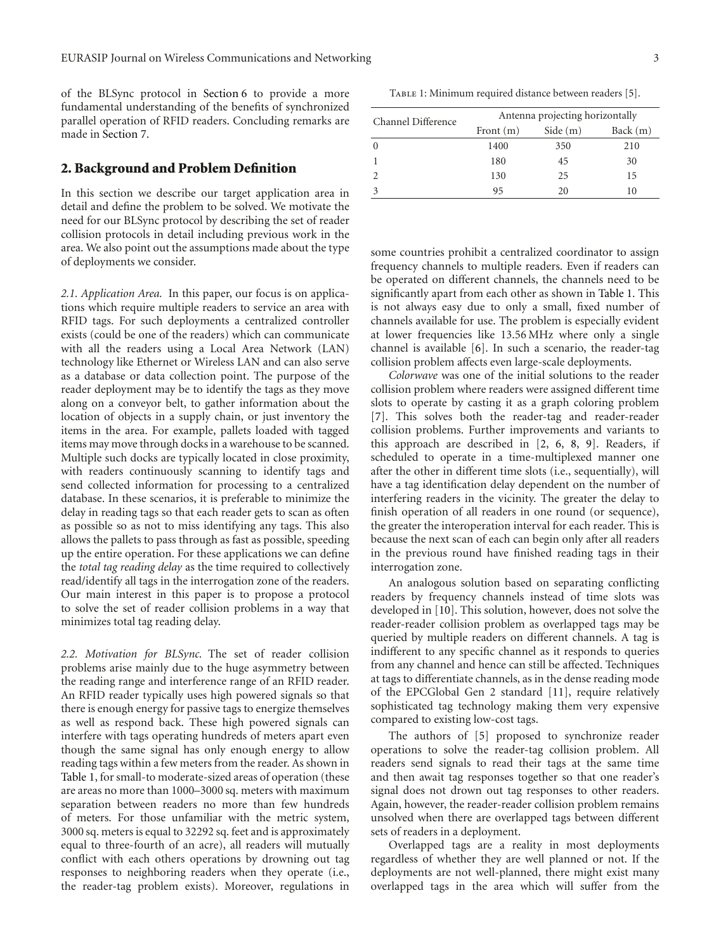of the BLSync protocol in Section 6 to provide a more fundamental understanding of the benefits of synchronized parallel operation of RFID readers. Concluding remarks are made in Section 7.

# **2. Background and Problem Definition**

In this section we describe our target application area in detail and define the problem to be solved. We motivate the need for our BLSync protocol by describing the set of reader collision protocols in detail including previous work in the area. We also point out the assumptions made about the type of deployments we consider.

*2.1. Application Area.* In this paper, our focus is on applications which require multiple readers to service an area with RFID tags. For such deployments a centralized controller exists (could be one of the readers) which can communicate with all the readers using a Local Area Network (LAN) technology like Ethernet or Wireless LAN and can also serve as a database or data collection point. The purpose of the reader deployment may be to identify the tags as they move along on a conveyor belt, to gather information about the location of objects in a supply chain, or just inventory the items in the area. For example, pallets loaded with tagged items may move through docks in a warehouse to be scanned. Multiple such docks are typically located in close proximity, with readers continuously scanning to identify tags and send collected information for processing to a centralized database. In these scenarios, it is preferable to minimize the delay in reading tags so that each reader gets to scan as often as possible so as not to miss identifying any tags. This also allows the pallets to pass through as fast as possible, speeding up the entire operation. For these applications we can define the *total tag reading delay* as the time required to collectively read/identify all tags in the interrogation zone of the readers. Our main interest in this paper is to propose a protocol to solve the set of reader collision problems in a way that minimizes total tag reading delay.

*2.2. Motivation for BLSync.* The set of reader collision problems arise mainly due to the huge asymmetry between the reading range and interference range of an RFID reader. An RFID reader typically uses high powered signals so that there is enough energy for passive tags to energize themselves as well as respond back. These high powered signals can interfere with tags operating hundreds of meters apart even though the same signal has only enough energy to allow reading tags within a few meters from the reader. As shown in Table 1, for small-to moderate-sized areas of operation (these are areas no more than 1000–3000 sq. meters with maximum separation between readers no more than few hundreds of meters. For those unfamiliar with the metric system, 3000 sq. meters is equal to 32292 sq. feet and is approximately equal to three-fourth of an acre), all readers will mutually conflict with each others operations by drowning out tag responses to neighboring readers when they operate (i.e., the reader-tag problem exists). Moreover, regulations in

TABLE 1: Minimum required distance between readers [5].

| Channel Difference | Antenna projecting horizontally |            |         |
|--------------------|---------------------------------|------------|---------|
|                    | Front $(m)$                     | Side $(m)$ | Back(m) |
| $\theta$           | 1400                            | 350        | 210     |
|                    | 180                             | 45         | 30      |
|                    | 130                             | 25         | 15      |
|                    | 95                              | 20         | 10      |

some countries prohibit a centralized coordinator to assign frequency channels to multiple readers. Even if readers can be operated on different channels, the channels need to be significantly apart from each other as shown in Table 1. This is not always easy due to only a small, fixed number of channels available for use. The problem is especially evident at lower frequencies like 13.56 MHz where only a single channel is available [6]. In such a scenario, the reader-tag collision problem affects even large-scale deployments.

*Colorwave* was one of the initial solutions to the reader collision problem where readers were assigned different time slots to operate by casting it as a graph coloring problem [7]. This solves both the reader-tag and reader-reader collision problems. Further improvements and variants to this approach are described in [2, 6, 8, 9]. Readers, if scheduled to operate in a time-multiplexed manner one after the other in different time slots (i.e., sequentially), will have a tag identification delay dependent on the number of interfering readers in the vicinity. The greater the delay to finish operation of all readers in one round (or sequence), the greater the interoperation interval for each reader. This is because the next scan of each can begin only after all readers in the previous round have finished reading tags in their interrogation zone.

An analogous solution based on separating conflicting readers by frequency channels instead of time slots was developed in [10]. This solution, however, does not solve the reader-reader collision problem as overlapped tags may be queried by multiple readers on different channels. A tag is indifferent to any specific channel as it responds to queries from any channel and hence can still be affected. Techniques at tags to differentiate channels, as in the dense reading mode of the EPCGlobal Gen 2 standard [11], require relatively sophisticated tag technology making them very expensive compared to existing low-cost tags.

The authors of [5] proposed to synchronize reader operations to solve the reader-tag collision problem. All readers send signals to read their tags at the same time and then await tag responses together so that one reader's signal does not drown out tag responses to other readers. Again, however, the reader-reader collision problem remains unsolved when there are overlapped tags between different sets of readers in a deployment.

Overlapped tags are a reality in most deployments regardless of whether they are well planned or not. If the deployments are not well-planned, there might exist many overlapped tags in the area which will suffer from the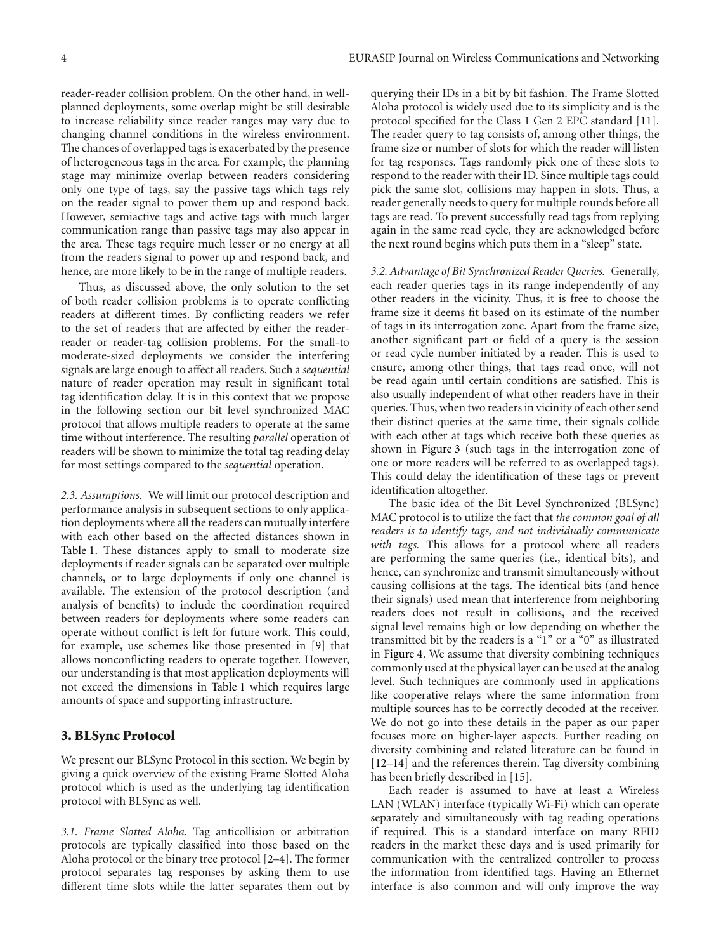reader-reader collision problem. On the other hand, in wellplanned deployments, some overlap might be still desirable to increase reliability since reader ranges may vary due to changing channel conditions in the wireless environment. The chances of overlapped tags is exacerbated by the presence of heterogeneous tags in the area. For example, the planning stage may minimize overlap between readers considering only one type of tags, say the passive tags which tags rely on the reader signal to power them up and respond back. However, semiactive tags and active tags with much larger communication range than passive tags may also appear in the area. These tags require much lesser or no energy at all from the readers signal to power up and respond back, and hence, are more likely to be in the range of multiple readers.

Thus, as discussed above, the only solution to the set of both reader collision problems is to operate conflicting readers at different times. By conflicting readers we refer to the set of readers that are affected by either the readerreader or reader-tag collision problems. For the small-to moderate-sized deployments we consider the interfering signals are large enough to affect all readers. Such a *sequential* nature of reader operation may result in significant total tag identification delay. It is in this context that we propose in the following section our bit level synchronized MAC protocol that allows multiple readers to operate at the same time without interference. The resulting *parallel* operation of readers will be shown to minimize the total tag reading delay for most settings compared to the *sequential* operation.

*2.3. Assumptions.* We will limit our protocol description and performance analysis in subsequent sections to only application deployments where all the readers can mutually interfere with each other based on the affected distances shown in Table 1. These distances apply to small to moderate size deployments if reader signals can be separated over multiple channels, or to large deployments if only one channel is available. The extension of the protocol description (and analysis of benefits) to include the coordination required between readers for deployments where some readers can operate without conflict is left for future work. This could, for example, use schemes like those presented in [9] that allows nonconflicting readers to operate together. However, our understanding is that most application deployments will not exceed the dimensions in Table 1 which requires large amounts of space and supporting infrastructure.

# **3. BLSync Protocol**

We present our BLSync Protocol in this section. We begin by giving a quick overview of the existing Frame Slotted Aloha protocol which is used as the underlying tag identification protocol with BLSync as well.

*3.1. Frame Slotted Aloha.* Tag anticollision or arbitration protocols are typically classified into those based on the Aloha protocol or the binary tree protocol [2–4]. The former protocol separates tag responses by asking them to use different time slots while the latter separates them out by

querying their IDs in a bit by bit fashion. The Frame Slotted Aloha protocol is widely used due to its simplicity and is the protocol specified for the Class 1 Gen 2 EPC standard [11]. The reader query to tag consists of, among other things, the frame size or number of slots for which the reader will listen for tag responses. Tags randomly pick one of these slots to respond to the reader with their ID. Since multiple tags could pick the same slot, collisions may happen in slots. Thus, a reader generally needs to query for multiple rounds before all tags are read. To prevent successfully read tags from replying again in the same read cycle, they are acknowledged before the next round begins which puts them in a "sleep" state.

*3.2. Advantage of Bit Synchronized Reader Queries.* Generally, each reader queries tags in its range independently of any other readers in the vicinity. Thus, it is free to choose the frame size it deems fit based on its estimate of the number of tags in its interrogation zone. Apart from the frame size, another significant part or field of a query is the session or read cycle number initiated by a reader. This is used to ensure, among other things, that tags read once, will not be read again until certain conditions are satisfied. This is also usually independent of what other readers have in their queries. Thus, when two readers in vicinity of each other send their distinct queries at the same time, their signals collide with each other at tags which receive both these queries as shown in Figure 3 (such tags in the interrogation zone of one or more readers will be referred to as overlapped tags). This could delay the identification of these tags or prevent identification altogether.

The basic idea of the Bit Level Synchronized (BLSync) MAC protocol is to utilize the fact that *the common goal of all readers is to identify tags, and not individually communicate with tags.* This allows for a protocol where all readers are performing the same queries (i.e., identical bits), and hence, can synchronize and transmit simultaneously without causing collisions at the tags. The identical bits (and hence their signals) used mean that interference from neighboring readers does not result in collisions, and the received signal level remains high or low depending on whether the transmitted bit by the readers is a "1" or a "0" as illustrated in Figure 4. We assume that diversity combining techniques commonly used at the physical layer can be used at the analog level. Such techniques are commonly used in applications like cooperative relays where the same information from multiple sources has to be correctly decoded at the receiver. We do not go into these details in the paper as our paper focuses more on higher-layer aspects. Further reading on diversity combining and related literature can be found in [12–14] and the references therein. Tag diversity combining has been briefly described in [15].

Each reader is assumed to have at least a Wireless LAN (WLAN) interface (typically Wi-Fi) which can operate separately and simultaneously with tag reading operations if required. This is a standard interface on many RFID readers in the market these days and is used primarily for communication with the centralized controller to process the information from identified tags. Having an Ethernet interface is also common and will only improve the way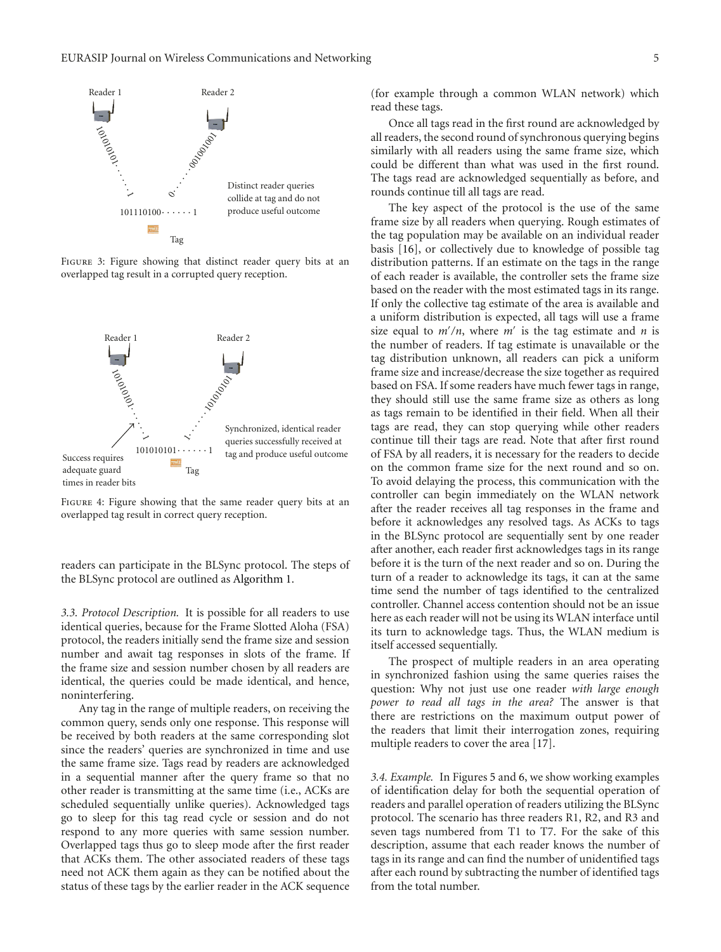

Figure 3: Figure showing that distinct reader query bits at an overlapped tag result in a corrupted query reception.



FIGURE 4: Figure showing that the same reader query bits at an overlapped tag result in correct query reception.

readers can participate in the BLSync protocol. The steps of the BLSync protocol are outlined as Algorithm 1.

*3.3. Protocol Description.* It is possible for all readers to use identical queries, because for the Frame Slotted Aloha (FSA) protocol, the readers initially send the frame size and session number and await tag responses in slots of the frame. If the frame size and session number chosen by all readers are identical, the queries could be made identical, and hence, noninterfering.

Any tag in the range of multiple readers, on receiving the common query, sends only one response. This response will be received by both readers at the same corresponding slot since the readers' queries are synchronized in time and use the same frame size. Tags read by readers are acknowledged in a sequential manner after the query frame so that no other reader is transmitting at the same time (i.e., ACKs are scheduled sequentially unlike queries). Acknowledged tags go to sleep for this tag read cycle or session and do not respond to any more queries with same session number. Overlapped tags thus go to sleep mode after the first reader that ACKs them. The other associated readers of these tags need not ACK them again as they can be notified about the status of these tags by the earlier reader in the ACK sequence

(for example through a common WLAN network) which read these tags.

Once all tags read in the first round are acknowledged by all readers, the second round of synchronous querying begins similarly with all readers using the same frame size, which could be different than what was used in the first round. The tags read are acknowledged sequentially as before, and rounds continue till all tags are read.

The key aspect of the protocol is the use of the same frame size by all readers when querying. Rough estimates of the tag population may be available on an individual reader basis [16], or collectively due to knowledge of possible tag distribution patterns. If an estimate on the tags in the range of each reader is available, the controller sets the frame size based on the reader with the most estimated tags in its range. If only the collective tag estimate of the area is available and a uniform distribution is expected, all tags will use a frame size equal to  $m'/n$ , where  $m'$  is the tag estimate and *n* is the number of readers. If tag estimate is unavailable or the tag distribution unknown, all readers can pick a uniform frame size and increase/decrease the size together as required based on FSA. If some readers have much fewer tags in range, they should still use the same frame size as others as long as tags remain to be identified in their field. When all their tags are read, they can stop querying while other readers continue till their tags are read. Note that after first round of FSA by all readers, it is necessary for the readers to decide on the common frame size for the next round and so on. To avoid delaying the process, this communication with the controller can begin immediately on the WLAN network after the reader receives all tag responses in the frame and before it acknowledges any resolved tags. As ACKs to tags in the BLSync protocol are sequentially sent by one reader after another, each reader first acknowledges tags in its range before it is the turn of the next reader and so on. During the turn of a reader to acknowledge its tags, it can at the same time send the number of tags identified to the centralized controller. Channel access contention should not be an issue here as each reader will not be using its WLAN interface until its turn to acknowledge tags. Thus, the WLAN medium is itself accessed sequentially.

The prospect of multiple readers in an area operating in synchronized fashion using the same queries raises the question: Why not just use one reader *with large enough power to read all tags in the area?* The answer is that there are restrictions on the maximum output power of the readers that limit their interrogation zones, requiring multiple readers to cover the area [17].

*3.4. Example.* In Figures 5 and 6, we show working examples of identification delay for both the sequential operation of readers and parallel operation of readers utilizing the BLSync protocol. The scenario has three readers R1, R2, and R3 and seven tags numbered from T1 to T7. For the sake of this description, assume that each reader knows the number of tags in its range and can find the number of unidentified tags after each round by subtracting the number of identified tags from the total number.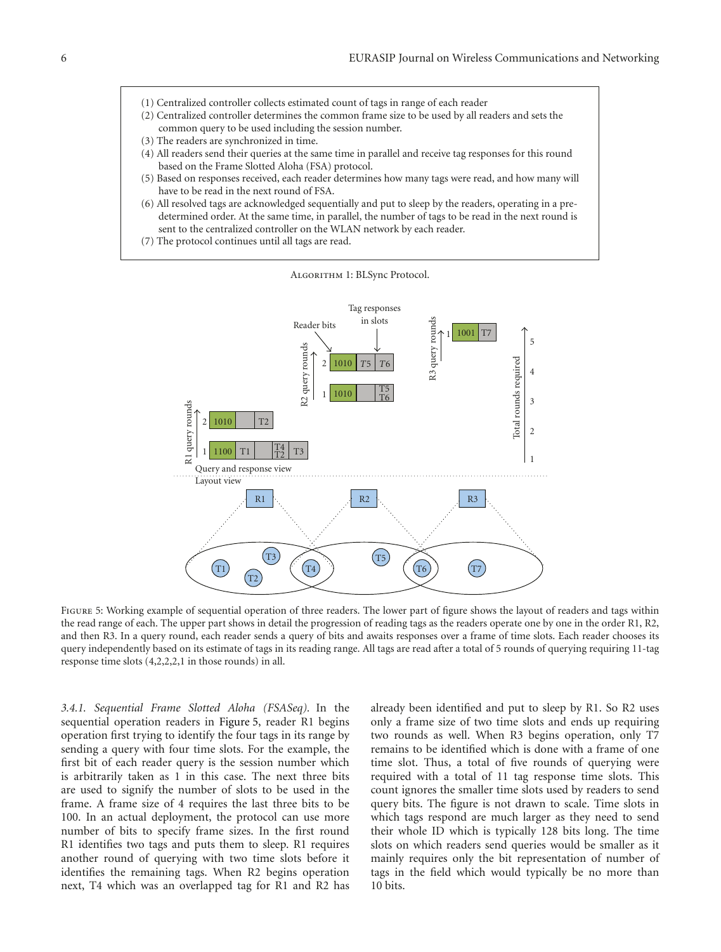- (1) Centralized controller collects estimated count of tags in range of each reader
- (2) Centralized controller determines the common frame size to be used by all readers and sets the common query to be used including the session number.
- (3) The readers are synchronized in time.
- (4) All readers send their queries at the same time in parallel and receive tag responses for this round based on the Frame Slotted Aloha (FSA) protocol.
- (5) Based on responses received, each reader determines how many tags were read, and how many will have to be read in the next round of FSA.
- (6) All resolved tags are acknowledged sequentially and put to sleep by the readers, operating in a predetermined order. At the same time, in parallel, the number of tags to be read in the next round is sent to the centralized controller on the WLAN network by each reader.
- (7) The protocol continues until all tags are read.



ALGORITHM 1: BLSync Protocol.

FIGURE 5: Working example of sequential operation of three readers. The lower part of figure shows the layout of readers and tags within the read range of each. The upper part shows in detail the progression of reading tags as the readers operate one by one in the order R1, R2, and then R3. In a query round, each reader sends a query of bits and awaits responses over a frame of time slots. Each reader chooses its query independently based on its estimate of tags in its reading range. All tags are read after a total of 5 rounds of querying requiring 11-tag response time slots (4,2,2,2,1 in those rounds) in all.

*3.4.1. Sequential Frame Slotted Aloha (FSASeq).* In the sequential operation readers in Figure 5, reader R1 begins operation first trying to identify the four tags in its range by sending a query with four time slots. For the example, the first bit of each reader query is the session number which is arbitrarily taken as 1 in this case. The next three bits are used to signify the number of slots to be used in the frame. A frame size of 4 requires the last three bits to be 100. In an actual deployment, the protocol can use more number of bits to specify frame sizes. In the first round R1 identifies two tags and puts them to sleep. R1 requires another round of querying with two time slots before it identifies the remaining tags. When R2 begins operation next, T4 which was an overlapped tag for R1 and R2 has

already been identified and put to sleep by R1. So R2 uses only a frame size of two time slots and ends up requiring two rounds as well. When R3 begins operation, only T7 remains to be identified which is done with a frame of one time slot. Thus, a total of five rounds of querying were required with a total of 11 tag response time slots. This count ignores the smaller time slots used by readers to send query bits. The figure is not drawn to scale. Time slots in which tags respond are much larger as they need to send their whole ID which is typically 128 bits long. The time slots on which readers send queries would be smaller as it mainly requires only the bit representation of number of tags in the field which would typically be no more than 10 bits.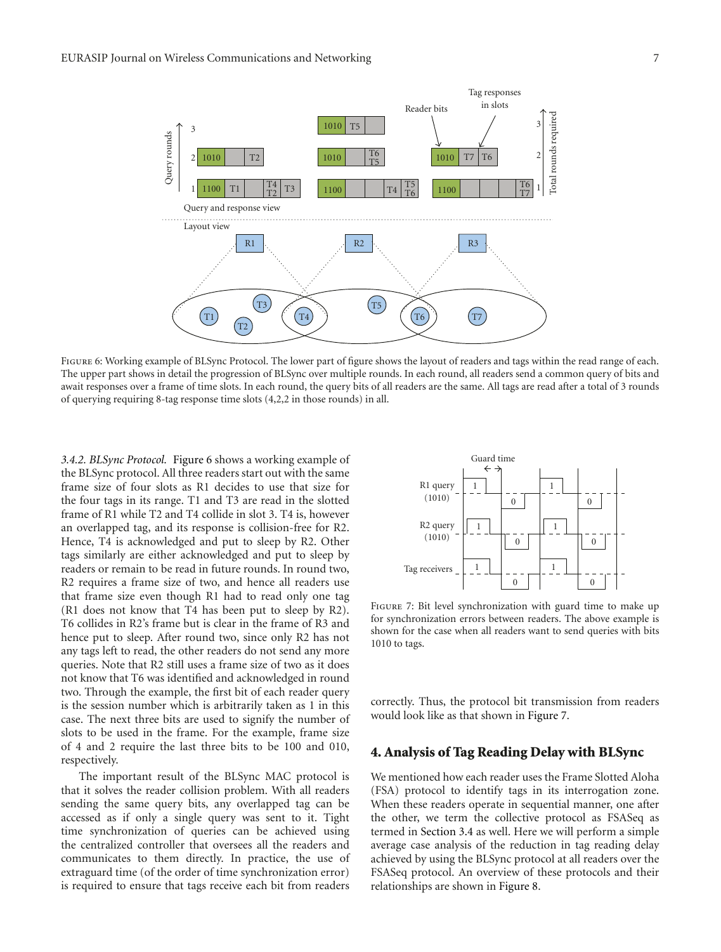

Figure 6: Working example of BLSync Protocol. The lower part of figure shows the layout of readers and tags within the read range of each. The upper part shows in detail the progression of BLSync over multiple rounds. In each round, all readers send a common query of bits and await responses over a frame of time slots. In each round, the query bits of all readers are the same. All tags are read after a total of 3 rounds of querying requiring 8-tag response time slots (4,2,2 in those rounds) in all.

*3.4.2. BLSync Protocol.* Figure 6 shows a working example of the BLSync protocol. All three readers start out with the same frame size of four slots as R1 decides to use that size for the four tags in its range. T1 and T3 are read in the slotted frame of R1 while T2 and T4 collide in slot 3. T4 is, however an overlapped tag, and its response is collision-free for R2. Hence, T4 is acknowledged and put to sleep by R2. Other tags similarly are either acknowledged and put to sleep by readers or remain to be read in future rounds. In round two, R2 requires a frame size of two, and hence all readers use that frame size even though R1 had to read only one tag (R1 does not know that T4 has been put to sleep by R2). T6 collides in R2's frame but is clear in the frame of R3 and hence put to sleep. After round two, since only R2 has not any tags left to read, the other readers do not send any more queries. Note that R2 still uses a frame size of two as it does not know that T6 was identified and acknowledged in round two. Through the example, the first bit of each reader query is the session number which is arbitrarily taken as 1 in this case. The next three bits are used to signify the number of slots to be used in the frame. For the example, frame size of 4 and 2 require the last three bits to be 100 and 010, respectively.

The important result of the BLSync MAC protocol is that it solves the reader collision problem. With all readers sending the same query bits, any overlapped tag can be accessed as if only a single query was sent to it. Tight time synchronization of queries can be achieved using the centralized controller that oversees all the readers and communicates to them directly. In practice, the use of extraguard time (of the order of time synchronization error) is required to ensure that tags receive each bit from readers



Figure 7: Bit level synchronization with guard time to make up for synchronization errors between readers. The above example is shown for the case when all readers want to send queries with bits 1010 to tags.

correctly. Thus, the protocol bit transmission from readers would look like as that shown in Figure 7.

# **4. Analysis of Tag Reading Delay with BLSync**

We mentioned how each reader uses the Frame Slotted Aloha (FSA) protocol to identify tags in its interrogation zone. When these readers operate in sequential manner, one after the other, we term the collective protocol as FSASeq as termed in Section 3.4 as well. Here we will perform a simple average case analysis of the reduction in tag reading delay achieved by using the BLSync protocol at all readers over the FSASeq protocol. An overview of these protocols and their relationships are shown in Figure 8.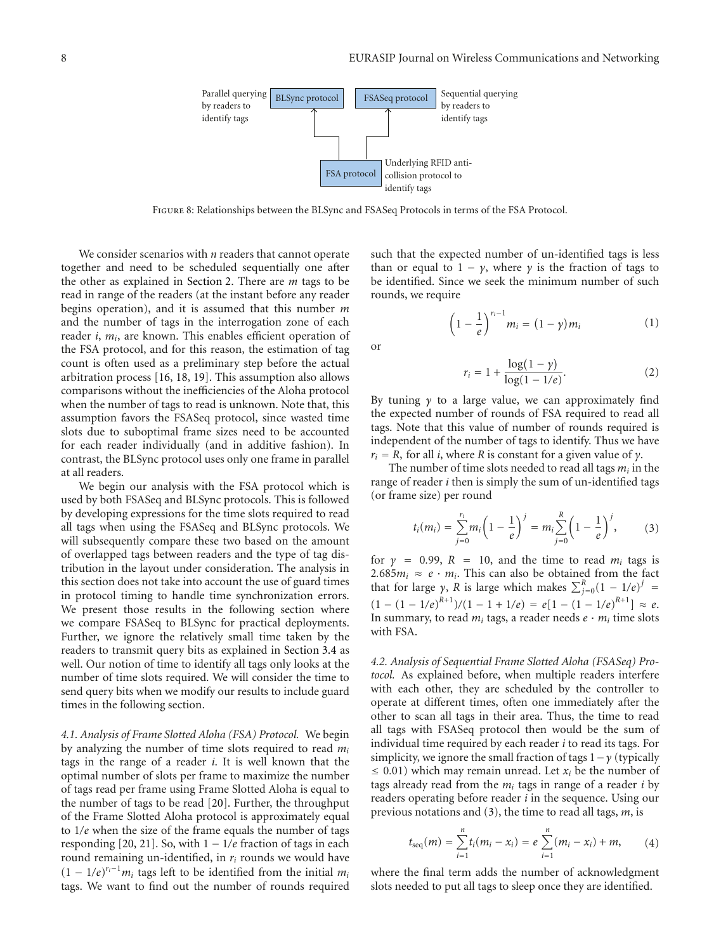

Figure 8: Relationships between the BLSync and FSASeq Protocols in terms of the FSA Protocol.

We consider scenarios with *n* readers that cannot operate together and need to be scheduled sequentially one after the other as explained in Section 2. There are *m* tags to be read in range of the readers (at the instant before any reader begins operation), and it is assumed that this number *m* and the number of tags in the interrogation zone of each reader *i*, *mi*, are known. This enables efficient operation of the FSA protocol, and for this reason, the estimation of tag count is often used as a preliminary step before the actual arbitration process [16, 18, 19]. This assumption also allows comparisons without the inefficiencies of the Aloha protocol when the number of tags to read is unknown. Note that, this assumption favors the FSASeq protocol, since wasted time slots due to suboptimal frame sizes need to be accounted for each reader individually (and in additive fashion). In contrast, the BLSync protocol uses only one frame in parallel at all readers.

We begin our analysis with the FSA protocol which is used by both FSASeq and BLSync protocols. This is followed by developing expressions for the time slots required to read all tags when using the FSASeq and BLSync protocols. We will subsequently compare these two based on the amount of overlapped tags between readers and the type of tag distribution in the layout under consideration. The analysis in this section does not take into account the use of guard times in protocol timing to handle time synchronization errors. We present those results in the following section where we compare FSASeq to BLSync for practical deployments. Further, we ignore the relatively small time taken by the readers to transmit query bits as explained in Section 3.4 as well. Our notion of time to identify all tags only looks at the number of time slots required. We will consider the time to send query bits when we modify our results to include guard times in the following section.

*4.1. Analysis of Frame Slotted Aloha (FSA) Protocol.* We begin by analyzing the number of time slots required to read *mi* tags in the range of a reader *i*. It is well known that the optimal number of slots per frame to maximize the number of tags read per frame using Frame Slotted Aloha is equal to the number of tags to be read [20]. Further, the throughput of the Frame Slotted Aloha protocol is approximately equal to 1*/e* when the size of the frame equals the number of tags responding [20, 21]. So, with 1 − 1*/e* fraction of tags in each round remaining un-identified, in *ri* rounds we would have  $(1 - 1/e)^{r_i - 1} m_i$  tags left to be identified from the initial  $m_i$ tags. We want to find out the number of rounds required

such that the expected number of un-identified tags is less than or equal to  $1 - \gamma$ , where  $\gamma$  is the fraction of tags to be identified. Since we seek the minimum number of such rounds, we require

$$
\left(1-\frac{1}{e}\right)^{r_i-1}m_i = \left(1-\gamma\right)m_i \tag{1}
$$

or

$$
r_i = 1 + \frac{\log(1 - \gamma)}{\log(1 - 1/e)}.
$$
 (2)

By tuning *γ* to a large value, we can approximately find the expected number of rounds of FSA required to read all tags. Note that this value of number of rounds required is independent of the number of tags to identify. Thus we have  $r_i = R$ , for all *i*, where *R* is constant for a given value of *γ*.

The number of time slots needed to read all tags  $m_i$  in the range of reader *i* then is simply the sum of un-identified tags (or frame size) per round

$$
t_i(m_i) = \sum_{j=0}^{r_i} m_i \left(1 - \frac{1}{e}\right)^j = m_i \sum_{j=0}^R \left(1 - \frac{1}{e}\right)^j, \qquad (3)
$$

for  $\gamma = 0.99$ ,  $R = 10$ , and the time to read  $m_i$  tags is 2.685 $m_i \approx e \cdot m_i$ . This can also be obtained from the fact that for large *γ*, *R* is large which makes  $\sum_{j=0}^{R} (1 - 1/e)^j$  =  $(1 - (1 - 1/e)^{R+1})/(1 - 1 + 1/e) = e[1 - (1 - 1/e)^{R+1}] \approx e.$ In summary, to read  $m_i$  tags, a reader needs  $e \cdot m_i$  time slots with FSA.

*4.2. Analysis of Sequential Frame Slotted Aloha (FSASeq) Protocol.* As explained before, when multiple readers interfere with each other, they are scheduled by the controller to operate at different times, often one immediately after the other to scan all tags in their area. Thus, the time to read all tags with FSASeq protocol then would be the sum of individual time required by each reader *i* to read its tags. For simplicity, we ignore the small fraction of tags 1−*γ* (typically  $\leq$  0.01) which may remain unread. Let  $x_i$  be the number of tags already read from the *mi* tags in range of a reader *i* by readers operating before reader *i* in the sequence. Using our previous notations and (3), the time to read all tags, *m*, is

$$
t_{\text{seq}}(m) = \sum_{i=1}^{n} t_i(m_i - x_i) = e \sum_{i=1}^{n} (m_i - x_i) + m, \qquad (4)
$$

where the final term adds the number of acknowledgment slots needed to put all tags to sleep once they are identified.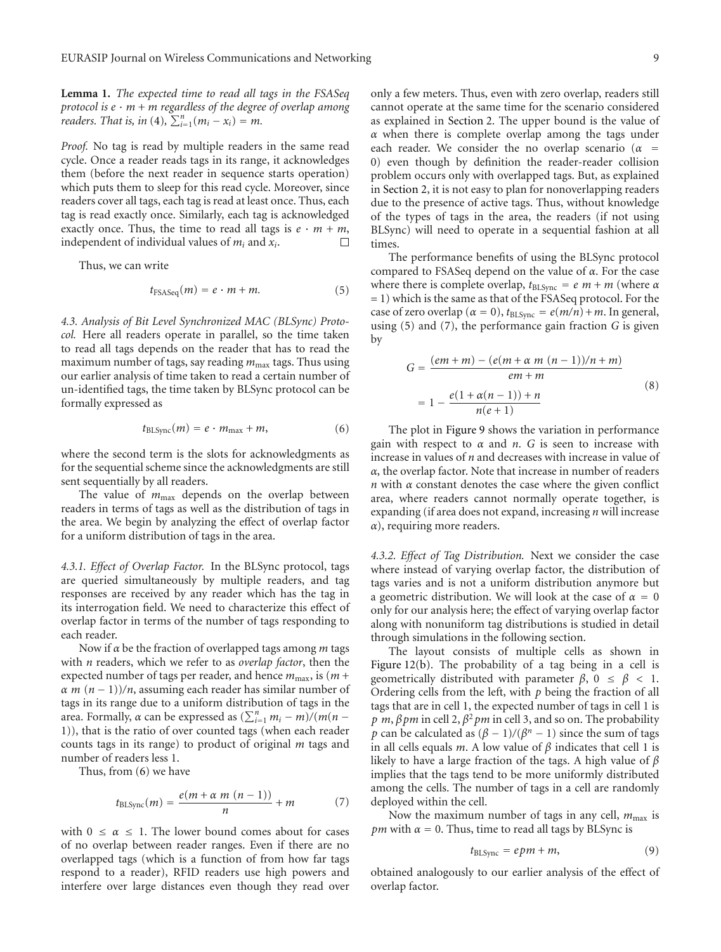**Lemma 1.** *The expected time to read all tags in the FSASeq protocol is e* · *m* + *m regardless of the degree of overlap among readers. That is, in* (4),  $\sum_{i=1}^{n} (m_i - x_i) = m$ .

*Proof.* No tag is read by multiple readers in the same read cycle. Once a reader reads tags in its range, it acknowledges them (before the next reader in sequence starts operation) which puts them to sleep for this read cycle. Moreover, since readers cover all tags, each tag is read at least once. Thus, each tag is read exactly once. Similarly, each tag is acknowledged exactly once. Thus, the time to read all tags is  $e \cdot m + m$ , independent of individual values of *m*, and *x*. independent of individual values of *mi* and *xi*.

Thus, we can write

$$
t_{\text{FSASEq}}(m) = e \cdot m + m. \tag{5}
$$

*4.3. Analysis of Bit Level Synchronized MAC (BLSync) Protocol.* Here all readers operate in parallel, so the time taken to read all tags depends on the reader that has to read the maximum number of tags, say reading  $m_{\text{max}}$  tags. Thus using our earlier analysis of time taken to read a certain number of un-identified tags, the time taken by BLSync protocol can be formally expressed as

$$
t_{\text{BLSync}}(m) = e \cdot m_{\text{max}} + m,\tag{6}
$$

where the second term is the slots for acknowledgments as for the sequential scheme since the acknowledgments are still sent sequentially by all readers.

The value of  $m_{\text{max}}$  depends on the overlap between readers in terms of tags as well as the distribution of tags in the area. We begin by analyzing the effect of overlap factor for a uniform distribution of tags in the area.

*4.3.1. Effect of Overlap Factor.* In the BLSync protocol, tags are queried simultaneously by multiple readers, and tag responses are received by any reader which has the tag in its interrogation field. We need to characterize this effect of overlap factor in terms of the number of tags responding to each reader.

Now if *α* be the fraction of overlapped tags among *m* tags with *n* readers, which we refer to as *overlap factor*, then the expected number of tags per reader, and hence  $m_{\text{max}}$ , is  $(m +$ *α m* (*n* − 1))*/n*, assuming each reader has similar number of tags in its range due to a uniform distribution of tags in the area. Formally, *α* can be expressed as  $(\sum_{i=1}^{n} m_i - m)/(m(n - m))$ 1)), that is the ratio of over counted tags (when each reader counts tags in its range) to product of original *m* tags and number of readers less 1.

Thus, from (6) we have

$$
t_{\text{BLSync}}(m) = \frac{e(m + \alpha m (n-1))}{n} + m \tag{7}
$$

with  $0 \le \alpha \le 1$ . The lower bound comes about for cases of no overlap between reader ranges. Even if there are no overlapped tags (which is a function of from how far tags respond to a reader), RFID readers use high powers and interfere over large distances even though they read over

only a few meters. Thus, even with zero overlap, readers still cannot operate at the same time for the scenario considered as explained in Section 2. The upper bound is the value of *α* when there is complete overlap among the tags under each reader. We consider the no overlap scenario ( $\alpha$  = 0) even though by definition the reader-reader collision problem occurs only with overlapped tags. But, as explained in Section 2, it is not easy to plan for nonoverlapping readers due to the presence of active tags. Thus, without knowledge of the types of tags in the area, the readers (if not using BLSync) will need to operate in a sequential fashion at all times.

The performance benefits of using the BLSync protocol compared to FSASeq depend on the value of *α*. For the case where there is complete overlap,  $t_{\text{BLSync}} = e \, m + m$  (where  $\alpha$ = 1) which is the same as that of the FSASeq protocol. For the case of zero overlap ( $\alpha = 0$ ),  $t_{\text{BLSync}} = e(m/n) + m$ . In general, using (5) and (7), the performance gain fraction *G* is given by

$$
G = \frac{(em+m) - (e(m + \alpha m (n-1))/n + m)}{em + m}
$$
  
= 
$$
1 - \frac{e(1 + \alpha(n-1)) + n}{n(e + 1)}
$$
 (8)

The plot in Figure 9 shows the variation in performance gain with respect to  $\alpha$  and  $n$ . *G* is seen to increase with increase in values of *n* and decreases with increase in value of *α*, the overlap factor. Note that increase in number of readers *n* with *α* constant denotes the case where the given conflict area, where readers cannot normally operate together, is expanding (if area does not expand, increasing *n* will increase *α*), requiring more readers.

*4.3.2. Effect of Tag Distribution.* Next we consider the case where instead of varying overlap factor, the distribution of tags varies and is not a uniform distribution anymore but a geometric distribution. We will look at the case of  $\alpha = 0$ only for our analysis here; the effect of varying overlap factor along with nonuniform tag distributions is studied in detail through simulations in the following section.

The layout consists of multiple cells as shown in Figure 12(b). The probability of a tag being in a cell is geometrically distributed with parameter *β*, 0 ≤ *β <* 1. Ordering cells from the left, with *p* being the fraction of all tags that are in cell 1, the expected number of tags in cell 1 is *p m*, *βpm* in cell 2, *β*<sup>2</sup> *pm* in cell 3, and so on. The probability *p* can be calculated as  $(\beta - 1)/(\beta^{n} - 1)$  since the sum of tags in all cells equals *m*. A low value of *β* indicates that cell 1 is likely to have a large fraction of the tags. A high value of *β* implies that the tags tend to be more uniformly distributed among the cells. The number of tags in a cell are randomly deployed within the cell.

Now the maximum number of tags in any cell,  $m_{\text{max}}$  is *pm* with  $\alpha = 0$ . Thus, time to read all tags by BLSync is

$$
t_{\rm BLSync} = epm + m,\t\t(9)
$$

obtained analogously to our earlier analysis of the effect of overlap factor.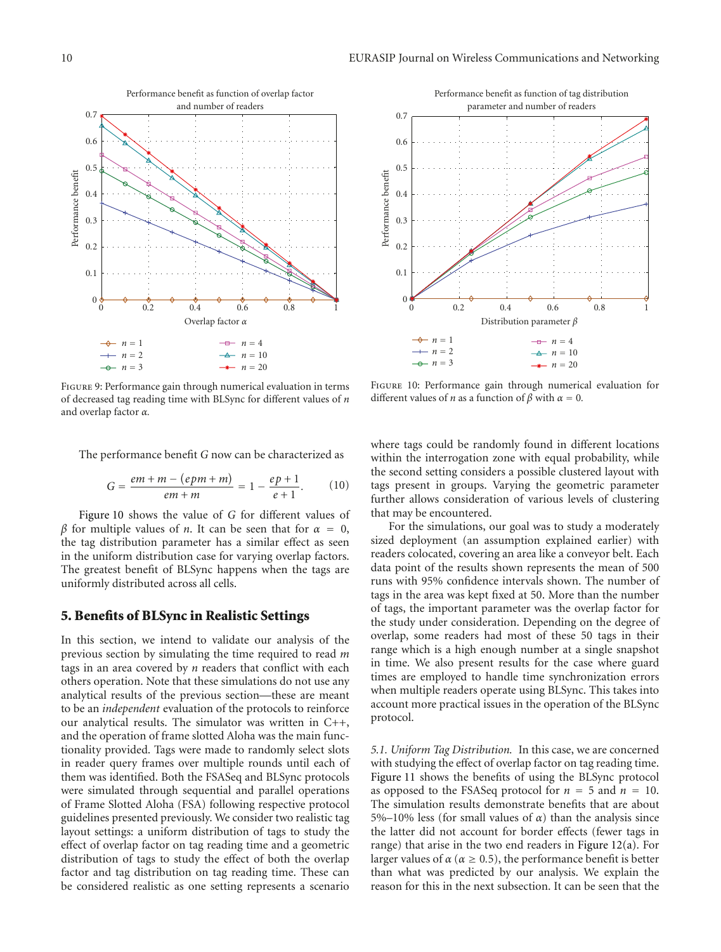

Figure 9: Performance gain through numerical evaluation in terms of decreased tag reading time with BLSync for different values of *n* and overlap factor *α.*

The performance benefit *G* now can be characterized as

$$
G = \frac{em + m - (epm + m)}{em + m} = 1 - \frac{ep + 1}{e + 1}.
$$
 (10)

Figure 10 shows the value of *G* for different values of *β* for multiple values of *n*. It can be seen that for  $α = 0$ , the tag distribution parameter has a similar effect as seen in the uniform distribution case for varying overlap factors. The greatest benefit of BLSync happens when the tags are uniformly distributed across all cells.

#### **5. Benefits of BLSync in Realistic Settings**

In this section, we intend to validate our analysis of the previous section by simulating the time required to read *m* tags in an area covered by *n* readers that conflict with each others operation. Note that these simulations do not use any analytical results of the previous section—these are meant to be an *independent* evaluation of the protocols to reinforce our analytical results. The simulator was written in C++, and the operation of frame slotted Aloha was the main functionality provided. Tags were made to randomly select slots in reader query frames over multiple rounds until each of them was identified. Both the FSASeq and BLSync protocols were simulated through sequential and parallel operations of Frame Slotted Aloha (FSA) following respective protocol guidelines presented previously. We consider two realistic tag layout settings: a uniform distribution of tags to study the effect of overlap factor on tag reading time and a geometric distribution of tags to study the effect of both the overlap factor and tag distribution on tag reading time. These can be considered realistic as one setting represents a scenario



Figure 10: Performance gain through numerical evaluation for different values of *n* as a function of  $\beta$  with  $\alpha = 0$ .

where tags could be randomly found in different locations within the interrogation zone with equal probability, while the second setting considers a possible clustered layout with tags present in groups. Varying the geometric parameter further allows consideration of various levels of clustering that may be encountered.

For the simulations, our goal was to study a moderately sized deployment (an assumption explained earlier) with readers colocated, covering an area like a conveyor belt. Each data point of the results shown represents the mean of 500 runs with 95% confidence intervals shown. The number of tags in the area was kept fixed at 50. More than the number of tags, the important parameter was the overlap factor for the study under consideration. Depending on the degree of overlap, some readers had most of these 50 tags in their range which is a high enough number at a single snapshot in time. We also present results for the case where guard times are employed to handle time synchronization errors when multiple readers operate using BLSync. This takes into account more practical issues in the operation of the BLSync protocol.

*5.1. Uniform Tag Distribution.* In this case, we are concerned with studying the effect of overlap factor on tag reading time. Figure 11 shows the benefits of using the BLSync protocol as opposed to the FSASeq protocol for  $n = 5$  and  $n = 10$ . The simulation results demonstrate benefits that are about 5%–10% less (for small values of *α*) than the analysis since the latter did not account for border effects (fewer tags in range) that arise in the two end readers in Figure 12(a). For larger values of  $\alpha$  ( $\alpha \ge 0.5$ ), the performance benefit is better than what was predicted by our analysis. We explain the reason for this in the next subsection. It can be seen that the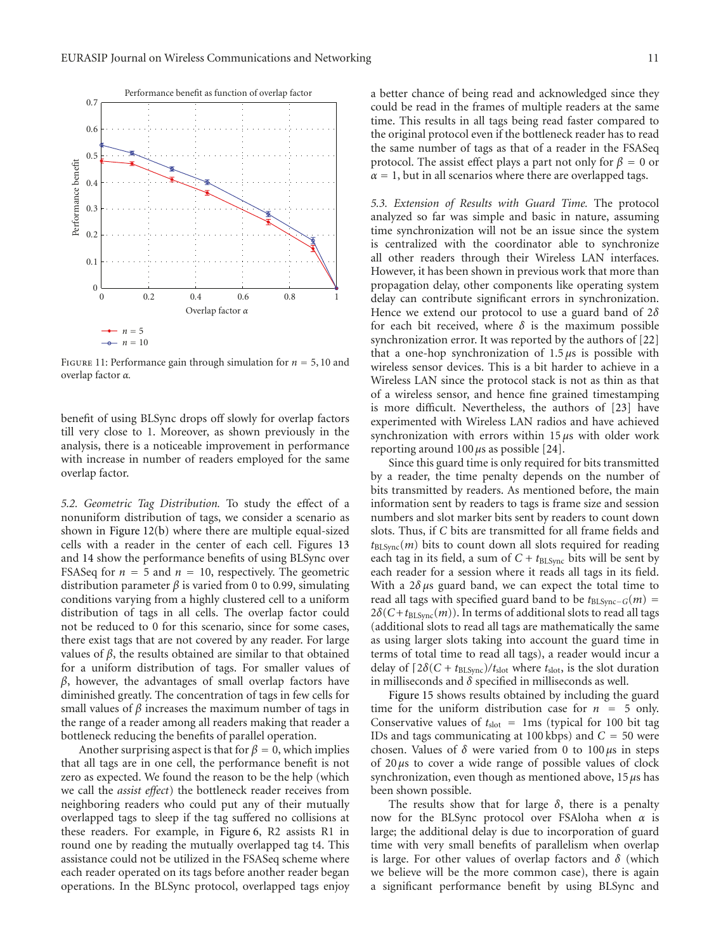

FIGURE 11: Performance gain through simulation for  $n = 5, 10$  and overlap factor *α.*

benefit of using BLSync drops off slowly for overlap factors till very close to 1. Moreover, as shown previously in the analysis, there is a noticeable improvement in performance with increase in number of readers employed for the same overlap factor.

*5.2. Geometric Tag Distribution.* To study the effect of a nonuniform distribution of tags, we consider a scenario as shown in Figure 12(b) where there are multiple equal-sized cells with a reader in the center of each cell. Figures 13 and 14 show the performance benefits of using BLSync over FSASeq for  $n = 5$  and  $n = 10$ , respectively. The geometric distribution parameter *β* is varied from 0 to 0*.*99, simulating conditions varying from a highly clustered cell to a uniform distribution of tags in all cells. The overlap factor could not be reduced to 0 for this scenario, since for some cases, there exist tags that are not covered by any reader. For large values of *β*, the results obtained are similar to that obtained for a uniform distribution of tags. For smaller values of *β*, however, the advantages of small overlap factors have diminished greatly. The concentration of tags in few cells for small values of  $\beta$  increases the maximum number of tags in the range of a reader among all readers making that reader a bottleneck reducing the benefits of parallel operation.

Another surprising aspect is that for  $\beta = 0$ , which implies that all tags are in one cell, the performance benefit is not zero as expected. We found the reason to be the help (which we call the *assist effect*) the bottleneck reader receives from neighboring readers who could put any of their mutually overlapped tags to sleep if the tag suffered no collisions at these readers. For example, in Figure 6, R2 assists R1 in round one by reading the mutually overlapped tag t4. This assistance could not be utilized in the FSASeq scheme where each reader operated on its tags before another reader began operations. In the BLSync protocol, overlapped tags enjoy

a better chance of being read and acknowledged since they could be read in the frames of multiple readers at the same time. This results in all tags being read faster compared to the original protocol even if the bottleneck reader has to read the same number of tags as that of a reader in the FSASeq protocol. The assist effect plays a part not only for  $\beta = 0$  or  $\alpha = 1$ , but in all scenarios where there are overlapped tags.

*5.3. Extension of Results with Guard Time.* The protocol analyzed so far was simple and basic in nature, assuming time synchronization will not be an issue since the system is centralized with the coordinator able to synchronize all other readers through their Wireless LAN interfaces. However, it has been shown in previous work that more than propagation delay, other components like operating system delay can contribute significant errors in synchronization. Hence we extend our protocol to use a guard band of 2*δ* for each bit received, where  $\delta$  is the maximum possible synchronization error. It was reported by the authors of [22] that a one-hop synchronization of 1.5 *μ*s is possible with wireless sensor devices. This is a bit harder to achieve in a Wireless LAN since the protocol stack is not as thin as that of a wireless sensor, and hence fine grained timestamping is more difficult. Nevertheless, the authors of [23] have experimented with Wireless LAN radios and have achieved synchronization with errors within 15 *μ*s with older work reporting around 100 *μ*s as possible [24].

Since this guard time is only required for bits transmitted by a reader, the time penalty depends on the number of bits transmitted by readers. As mentioned before, the main information sent by readers to tags is frame size and session numbers and slot marker bits sent by readers to count down slots. Thus, if *C* bits are transmitted for all frame fields and  $t_{\text{BLSync}}(m)$  bits to count down all slots required for reading each tag in its field, a sum of  $C + t_{\text{BLSync}}$  bits will be sent by each reader for a session where it reads all tags in its field. With a 2*δ μ*s guard band, we can expect the total time to read all tags with specified guard band to be  $t_{\text{BLSync}-G}(m)$  =  $2\delta(C+t_{\text{BLSync}}(m))$ . In terms of additional slots to read all tags (additional slots to read all tags are mathematically the same as using larger slots taking into account the guard time in terms of total time to read all tags), a reader would incur a delay of  $[2\delta(C + t_{\text{BLSync}})/t_{\text{slot}}$  where  $t_{\text{slot}}$ , is the slot duration in milliseconds and *δ* specified in milliseconds as well.

Figure 15 shows results obtained by including the guard time for the uniform distribution case for  $n = 5$  only. Conservative values of  $t_{slot}$  = 1ms (typical for 100 bit tag IDs and tags communicating at 100 kbps) and *C* = 50 were chosen. Values of *δ* were varied from 0 to 100 *μ*s in steps of 20 *μ*s to cover a wide range of possible values of clock synchronization, even though as mentioned above, 15 *μ*s has been shown possible.

The results show that for large  $\delta$ , there is a penalty now for the BLSync protocol over FSAloha when *α* is large; the additional delay is due to incorporation of guard time with very small benefits of parallelism when overlap is large. For other values of overlap factors and *δ* (which we believe will be the more common case), there is again a significant performance benefit by using BLSync and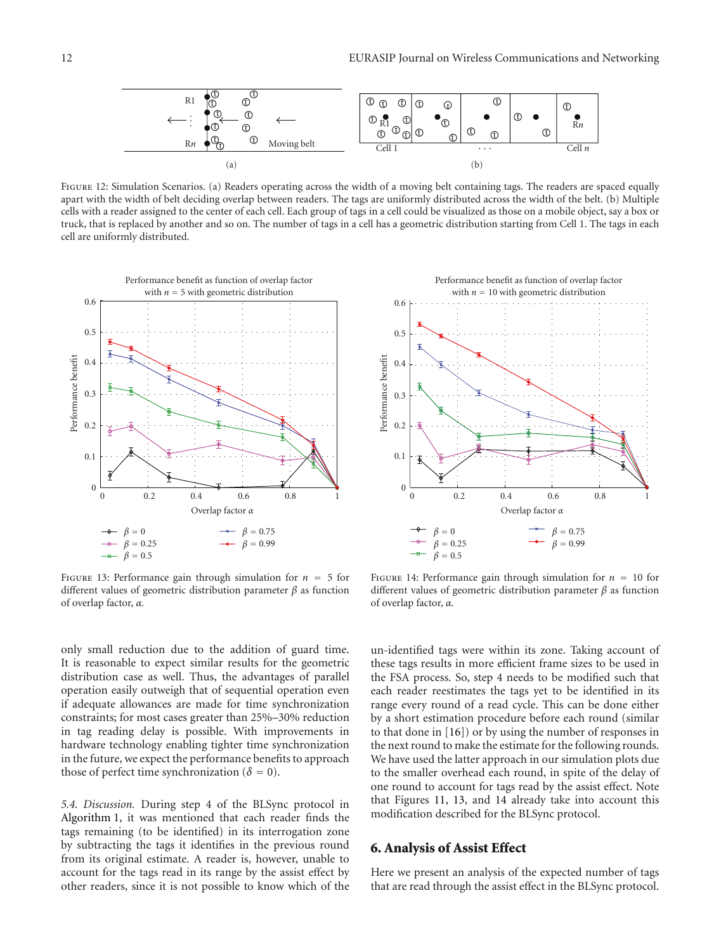

FIGURE 12: Simulation Scenarios. (a) Readers operating across the width of a moving belt containing tags. The readers are spaced equally apart with the width of belt deciding overlap between readers. The tags are uniformly distributed across the width of the belt. (b) Multiple cells with a reader assigned to the center of each cell. Each group of tags in a cell could be visualized as those on a mobile object, say a box or truck, that is replaced by another and so on. The number of tags in a cell has a geometric distribution starting from Cell 1. The tags in each cell are uniformly distributed.





FIGURE 13: Performance gain through simulation for  $n = 5$  for different values of geometric distribution parameter *β* as function of overlap factor, *α.*

FIGURE 14: Performance gain through simulation for  $n = 10$  for different values of geometric distribution parameter *β* as function of overlap factor, *α.*

only small reduction due to the addition of guard time. It is reasonable to expect similar results for the geometric distribution case as well. Thus, the advantages of parallel operation easily outweigh that of sequential operation even if adequate allowances are made for time synchronization constraints; for most cases greater than 25%–30% reduction in tag reading delay is possible. With improvements in hardware technology enabling tighter time synchronization in the future, we expect the performance benefits to approach those of perfect time synchronization ( $\delta = 0$ ).

*5.4. Discussion.* During step 4 of the BLSync protocol in Algorithm 1, it was mentioned that each reader finds the tags remaining (to be identified) in its interrogation zone by subtracting the tags it identifies in the previous round from its original estimate. A reader is, however, unable to account for the tags read in its range by the assist effect by other readers, since it is not possible to know which of the

un-identified tags were within its zone. Taking account of these tags results in more efficient frame sizes to be used in the FSA process. So, step 4 needs to be modified such that each reader reestimates the tags yet to be identified in its range every round of a read cycle. This can be done either by a short estimation procedure before each round (similar to that done in [16]) or by using the number of responses in the next round to make the estimate for the following rounds. We have used the latter approach in our simulation plots due to the smaller overhead each round, in spite of the delay of one round to account for tags read by the assist effect. Note that Figures 11, 13, and 14 already take into account this modification described for the BLSync protocol.

# **6. Analysis of Assist Effect**

Here we present an analysis of the expected number of tags that are read through the assist effect in the BLSync protocol.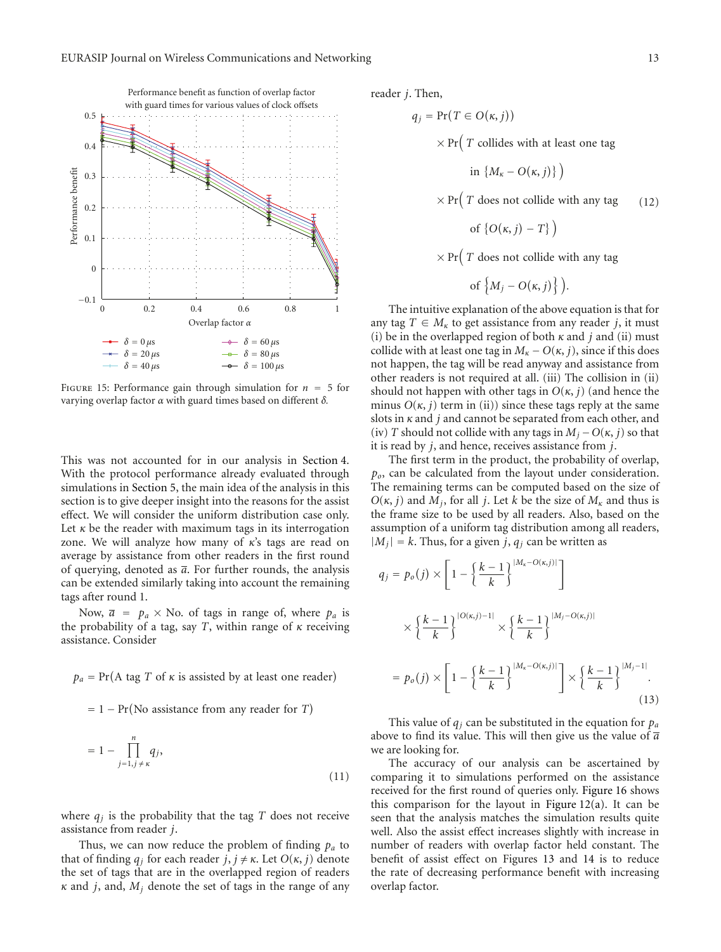

FIGURE 15: Performance gain through simulation for  $n = 5$  for varying overlap factor *α* with guard times based on different *δ.*

This was not accounted for in our analysis in Section 4. With the protocol performance already evaluated through simulations in Section 5, the main idea of the analysis in this section is to give deeper insight into the reasons for the assist effect. We will consider the uniform distribution case only. Let  $\kappa$  be the reader with maximum tags in its interrogation zone. We will analyze how many of *κ*'s tags are read on average by assistance from other readers in the first round of querying, denoted as  $\bar{a}$ . For further rounds, the analysis can be extended similarly taking into account the remaining tags after round 1.

Now,  $\bar{a} = p_a \times$  No. of tags in range of, where  $p_a$  is the probability of a tag, say *T*, within range of *κ* receiving assistance. Consider

 $p_a = Pr(A \text{ tag } T \text{ of } \kappa \text{ is assisted by at least one reader})$ 

 $= 1 - Pr(No assistance from any reader for T)$ 

$$
= 1 - \prod_{j=1, j \neq \kappa}^{n} q_j,
$$
\n(11)

where  $q_i$  is the probability that the tag  $T$  does not receive assistance from reader *j*.

Thus, we can now reduce the problem of finding *pa* to that of finding  $q_i$  for each reader  $j$ ,  $j \neq \kappa$ . Let  $O(\kappa, j)$  denote the set of tags that are in the overlapped region of readers  $\kappa$  and *j*, and,  $M_j$  denote the set of tags in the range of any reader *j*. Then,

 $q_j$  =  $Pr(T \in O(\kappa, j))$ 

 $\times$  Pr $(T$  collides with at least one tag

in 
$$
{M_{\kappa} - O(\kappa, j)}
$$

 $\times$  Pr $\left(T \right)$  does not collide with any tag (12)

of  $\{O(\kappa, j) - T\}$ 

 $\times$  Pr $\left(T \right)$  does not collide with any tag

of 
$$
\{M_j - O(\kappa, j)\}
$$
.

The intuitive explanation of the above equation is that for any tag  $T \in M_{\kappa}$  to get assistance from any reader *j*, it must (i) be in the overlapped region of both *κ* and *j* and (ii) must collide with at least one tag in  $M_k - O(\kappa, j)$ , since if this does not happen, the tag will be read anyway and assistance from other readers is not required at all. (iii) The collision in (ii) should not happen with other tags in  $O(\kappa, j)$  (and hence the minus  $O(\kappa, j)$  term in (ii)) since these tags reply at the same slots in *κ* and *j* and cannot be separated from each other, and (iv) *T* should not collide with any tags in  $M_i - O(\kappa, j)$  so that it is read by *j*, and hence, receives assistance from *j*.

The first term in the product, the probability of overlap, *po*, can be calculated from the layout under consideration. The remaining terms can be computed based on the size of  $O(\kappa, j)$  and  $M_j$ , for all *j*. Let *k* be the size of  $M_k$  and thus is the frame size to be used by all readers. Also, based on the assumption of a uniform tag distribution among all readers,  $|M_j| = k$ . Thus, for a given *j*,  $q_j$  can be written as

$$
q_j = p_o(j) \times \left[1 - \left\{\frac{k-1}{k}\right\}^{|M_k - O(\kappa, j)|}\right]
$$

$$
\times \left\{\frac{k-1}{k}\right\}^{|O(\kappa, j) - 1|} \times \left\{\frac{k-1}{k}\right\}^{|M_j - O(\kappa, j)|}
$$

$$
= p_o(j) \times \left[1 - \left\{\frac{k-1}{k}\right\}^{|M_k - O(\kappa, j)|}\right] \times \left\{\frac{k-1}{k}\right\}^{|M_j - 1|}.
$$
(13)

This value of  $q_i$  can be substituted in the equation for  $p_a$ above to find its value. This will then give us the value of *a* we are looking for.

The accuracy of our analysis can be ascertained by comparing it to simulations performed on the assistance received for the first round of queries only. Figure 16 shows this comparison for the layout in Figure  $12(a)$ . It can be seen that the analysis matches the simulation results quite well. Also the assist effect increases slightly with increase in number of readers with overlap factor held constant. The benefit of assist effect on Figures 13 and 14 is to reduce the rate of decreasing performance benefit with increasing overlap factor.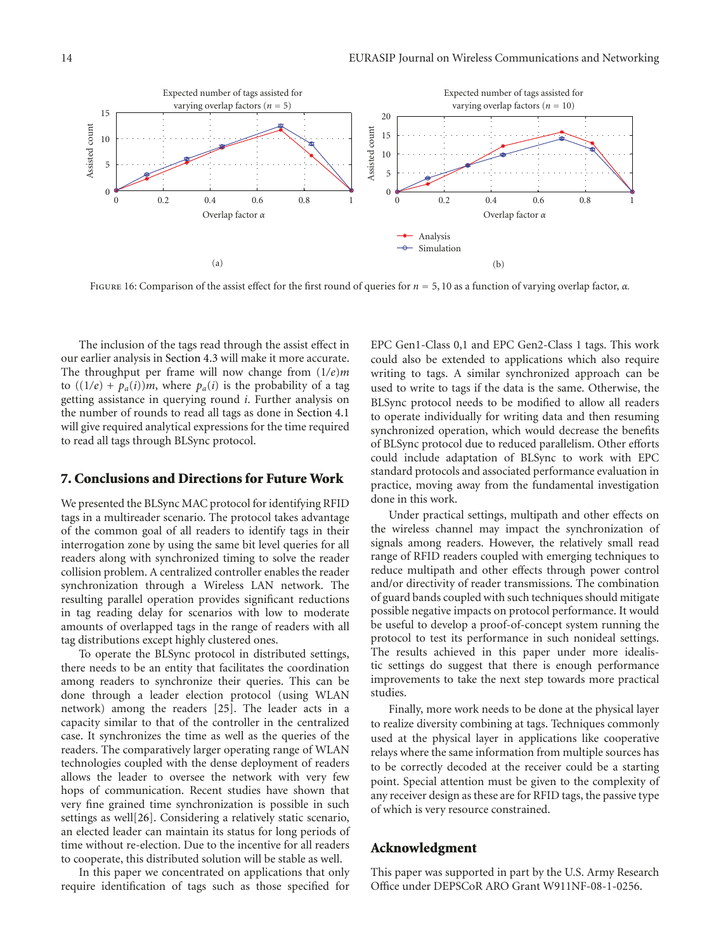

Figure 16: Comparison of the assist effect for the first round of queries for *n* = 5, 10 as a function of varying overlap factor, *α.*

The inclusion of the tags read through the assist effect in our earlier analysis in Section 4.3 will make it more accurate. The throughput per frame will now change from (1*/e*)*m* to  $((1/e) + p_a(i))m$ , where  $p_a(i)$  is the probability of a tag getting assistance in querying round *i*. Further analysis on the number of rounds to read all tags as done in Section 4.1 will give required analytical expressions for the time required to read all tags through BLSync protocol.

#### **7. Conclusions and Directions for Future Work**

We presented the BLSync MAC protocol for identifying RFID tags in a multireader scenario. The protocol takes advantage of the common goal of all readers to identify tags in their interrogation zone by using the same bit level queries for all readers along with synchronized timing to solve the reader collision problem. A centralized controller enables the reader synchronization through a Wireless LAN network. The resulting parallel operation provides significant reductions in tag reading delay for scenarios with low to moderate amounts of overlapped tags in the range of readers with all tag distributions except highly clustered ones.

To operate the BLSync protocol in distributed settings, there needs to be an entity that facilitates the coordination among readers to synchronize their queries. This can be done through a leader election protocol (using WLAN network) among the readers [25]. The leader acts in a capacity similar to that of the controller in the centralized case. It synchronizes the time as well as the queries of the readers. The comparatively larger operating range of WLAN technologies coupled with the dense deployment of readers allows the leader to oversee the network with very few hops of communication. Recent studies have shown that very fine grained time synchronization is possible in such settings as well[26]. Considering a relatively static scenario, an elected leader can maintain its status for long periods of time without re-election. Due to the incentive for all readers to cooperate, this distributed solution will be stable as well.

In this paper we concentrated on applications that only require identification of tags such as those specified for

EPC Gen1-Class 0,1 and EPC Gen2-Class 1 tags. This work could also be extended to applications which also require writing to tags. A similar synchronized approach can be used to write to tags if the data is the same. Otherwise, the BLSync protocol needs to be modified to allow all readers to operate individually for writing data and then resuming synchronized operation, which would decrease the benefits of BLSync protocol due to reduced parallelism. Other efforts could include adaptation of BLSync to work with EPC standard protocols and associated performance evaluation in practice, moving away from the fundamental investigation done in this work.

Under practical settings, multipath and other effects on the wireless channel may impact the synchronization of signals among readers. However, the relatively small read range of RFID readers coupled with emerging techniques to reduce multipath and other effects through power control and/or directivity of reader transmissions. The combination of guard bands coupled with such techniques should mitigate possible negative impacts on protocol performance. It would be useful to develop a proof-of-concept system running the protocol to test its performance in such nonideal settings. The results achieved in this paper under more idealistic settings do suggest that there is enough performance improvements to take the next step towards more practical studies.

Finally, more work needs to be done at the physical layer to realize diversity combining at tags. Techniques commonly used at the physical layer in applications like cooperative relays where the same information from multiple sources has to be correctly decoded at the receiver could be a starting point. Special attention must be given to the complexity of any receiver design as these are for RFID tags, the passive type of which is very resource constrained.

# **Acknowledgment**

This paper was supported in part by the U.S. Army Research Office under DEPSCoR ARO Grant W911NF-08-1-0256.